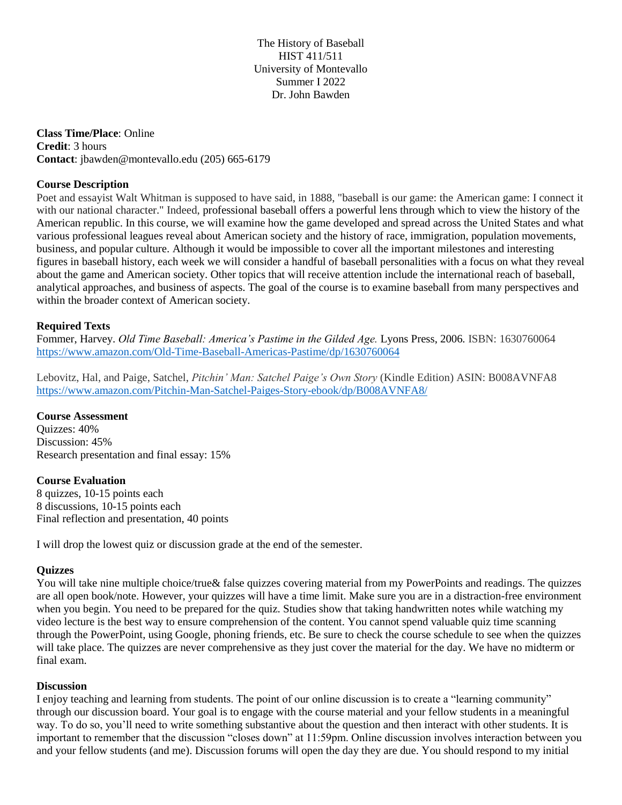The History of Baseball HIST 411/511 University of Montevallo Summer I 2022 Dr. John Bawden

**Class Time/Place**: Online **Credit**: 3 hours **Contact**: jbawden@montevallo.edu (205) 665-6179

## **Course Description**

Poet and essayist Walt Whitman is supposed to have said, in 1888, "baseball is our game: the American game: I connect it with our national character." Indeed, professional baseball offers a powerful lens through which to view the history of the American republic. In this course, we will examine how the game developed and spread across the United States and what various professional leagues reveal about American society and the history of race, immigration, population movements, business, and popular culture. Although it would be impossible to cover all the important milestones and interesting figures in baseball history, each week we will consider a handful of baseball personalities with a focus on what they reveal about the game and American society. Other topics that will receive attention include the international reach of baseball, analytical approaches, and business of aspects. The goal of the course is to examine baseball from many perspectives and within the broader context of American society.

# **Required Texts**

Fommer, Harvey. *Old Time Baseball: America's Pastime in the Gilded Age.* Lyons Press, 2006. ISBN: 1630760064 <https://www.amazon.com/Old-Time-Baseball-Americas-Pastime/dp/1630760064>

Lebovitz, Hal, and Paige, Satchel, *Pitchin' Man: Satchel Paige's Own Story* (Kindle Edition) ASIN: B008AVNFA8 <https://www.amazon.com/Pitchin-Man-Satchel-Paiges-Story-ebook/dp/B008AVNFA8/>

## **Course Assessment**

Quizzes: 40% Discussion: 45% Research presentation and final essay: 15%

## **Course Evaluation**

8 quizzes, 10-15 points each 8 discussions, 10-15 points each Final reflection and presentation, 40 points

I will drop the lowest quiz or discussion grade at the end of the semester.

## **Quizzes**

You will take nine multiple choice/true& false quizzes covering material from my PowerPoints and readings. The quizzes are all open book/note. However, your quizzes will have a time limit. Make sure you are in a distraction-free environment when you begin. You need to be prepared for the quiz. Studies show that taking handwritten notes while watching my video lecture is the best way to ensure comprehension of the content. You cannot spend valuable quiz time scanning through the PowerPoint, using Google, phoning friends, etc. Be sure to check the course schedule to see when the quizzes will take place. The quizzes are never comprehensive as they just cover the material for the day. We have no midterm or final exam.

## **Discussion**

I enjoy teaching and learning from students. The point of our online discussion is to create a "learning community" through our discussion board. Your goal is to engage with the course material and your fellow students in a meaningful way. To do so, you'll need to write something substantive about the question and then interact with other students. It is important to remember that the discussion "closes down" at 11:59pm. Online discussion involves interaction between you and your fellow students (and me). Discussion forums will open the day they are due. You should respond to my initial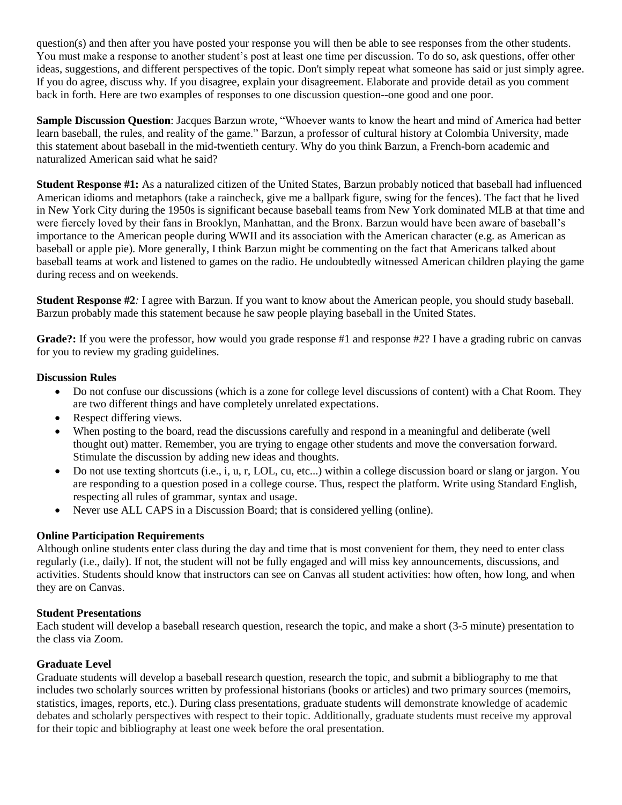question(s) and then after you have posted your response you will then be able to see responses from the other students. You must make a response to another student's post at least one time per discussion. To do so, ask questions, offer other ideas, suggestions, and different perspectives of the topic. Don't simply repeat what someone has said or just simply agree. If you do agree, discuss why. If you disagree, explain your disagreement. Elaborate and provide detail as you comment back in forth. Here are two examples of responses to one discussion question--one good and one poor.

**Sample Discussion Question**: Jacques Barzun wrote, "Whoever wants to know the heart and mind of America had better learn baseball, the rules, and reality of the game." Barzun, a professor of cultural history at Colombia University, made this statement about baseball in the mid-twentieth century. Why do you think Barzun, a French-born academic and naturalized American said what he said?

**Student Response #1:** As a naturalized citizen of the United States, Barzun probably noticed that baseball had influenced American idioms and metaphors (take a raincheck, give me a ballpark figure, swing for the fences). The fact that he lived in New York City during the 1950s is significant because baseball teams from New York dominated MLB at that time and were fiercely loved by their fans in Brooklyn, Manhattan, and the Bronx. Barzun would have been aware of baseball's importance to the American people during WWII and its association with the American character (e.g. as American as baseball or apple pie). More generally, I think Barzun might be commenting on the fact that Americans talked about baseball teams at work and listened to games on the radio. He undoubtedly witnessed American children playing the game during recess and on weekends.

**Student Response #2***:* I agree with Barzun. If you want to know about the American people, you should study baseball. Barzun probably made this statement because he saw people playing baseball in the United States.

Grade?: If you were the professor, how would you grade response #1 and response #2? I have a grading rubric on canvas for you to review my grading guidelines.

# **Discussion Rules**

- Do not confuse our discussions (which is a zone for college level discussions of content) with a Chat Room. They are two different things and have completely unrelated expectations.
- Respect differing views.
- When posting to the board, read the discussions carefully and respond in a meaningful and deliberate (well thought out) matter. Remember, you are trying to engage other students and move the conversation forward. Stimulate the discussion by adding new ideas and thoughts.
- Do not use texting shortcuts (i.e., i, u, r, LOL, cu, etc...) within a college discussion board or slang or jargon. You are responding to a question posed in a college course. Thus, respect the platform. Write using Standard English, respecting all rules of grammar, syntax and usage.
- Never use ALL CAPS in a Discussion Board; that is considered velling (online).

# **Online Participation Requirements**

Although online students enter class during the day and time that is most convenient for them, they need to enter class regularly (i.e., daily). If not, the student will not be fully engaged and will miss key announcements, discussions, and activities. Students should know that instructors can see on Canvas all student activities: how often, how long, and when they are on Canvas.

## **Student Presentations**

Each student will develop a baseball research question, research the topic, and make a short (3-5 minute) presentation to the class via Zoom.

## **Graduate Level**

Graduate students will develop a baseball research question, research the topic, and submit a bibliography to me that includes two scholarly sources written by professional historians (books or articles) and two primary sources (memoirs, statistics, images, reports, etc.). During class presentations, graduate students will demonstrate knowledge of academic debates and scholarly perspectives with respect to their topic. Additionally, graduate students must receive my approval for their topic and bibliography at least one week before the oral presentation.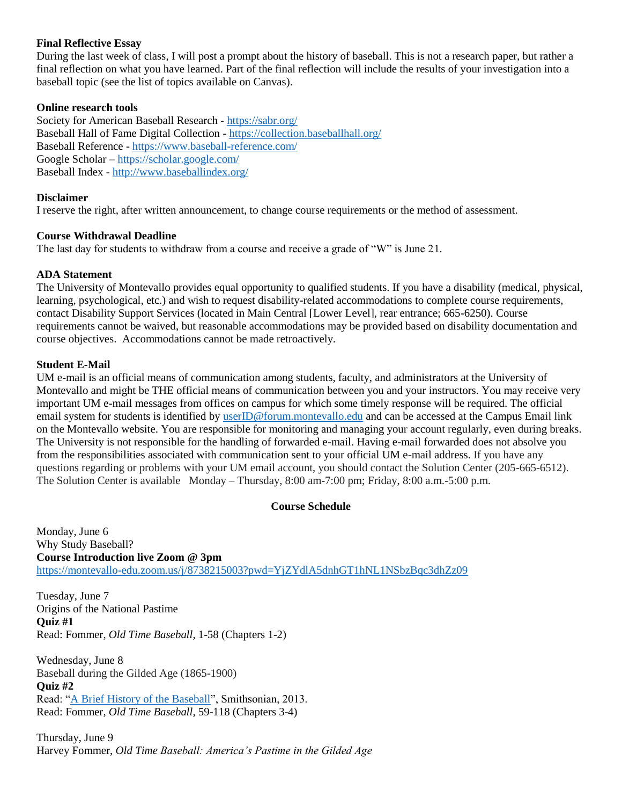## **Final Reflective Essay**

During the last week of class, I will post a prompt about the history of baseball. This is not a research paper, but rather a final reflection on what you have learned. Part of the final reflection will include the results of your investigation into a baseball topic (see the list of topics available on Canvas).

#### **Online research tools**

Society for American Baseball Research - <https://sabr.org/> Baseball Hall of Fame Digital Collection - <https://collection.baseballhall.org/> Baseball Reference - <https://www.baseball-reference.com/> Google Scholar – <https://scholar.google.com/> Baseball Index - <http://www.baseballindex.org/>

#### **Disclaimer**

I reserve the right, after written announcement, to change course requirements or the method of assessment.

#### **Course Withdrawal Deadline**

The last day for students to withdraw from a course and receive a grade of "W" is June 21.

#### **ADA Statement**

The University of Montevallo provides equal opportunity to qualified students. If you have a disability (medical, physical, learning, psychological, etc.) and wish to request disability-related accommodations to complete course requirements, contact Disability Support Services (located in Main Central [Lower Level], rear entrance; 665-6250). Course requirements cannot be waived, but reasonable accommodations may be provided based on disability documentation and course objectives. Accommodations cannot be made retroactively.

#### **Student E-Mail**

UM e-mail is an official means of communication among students, faculty, and administrators at the University of Montevallo and might be THE official means of communication between you and your instructors. You may receive very important UM e-mail messages from offices on campus for which some timely response will be required. The official email system for students is identified by [userID@forum.montevallo.edu](mailto:userID@forum.montevallo.edu) and can be accessed at the Campus Email link on the Montevallo website. You are responsible for monitoring and managing your account regularly, even during breaks. The University is not responsible for the handling of forwarded e-mail. Having e-mail forwarded does not absolve you from the responsibilities associated with communication sent to your official UM e-mail address. If you have any questions regarding or problems with your UM email account, you should contact the Solution Center (205-665-6512). The Solution Center is available Monday – Thursday, 8:00 am-7:00 pm; Friday, 8:00 a.m.-5:00 p.m.

## **Course Schedule**

Monday, June 6 Why Study Baseball? **Course Introduction live Zoom @ 3pm** <https://montevallo-edu.zoom.us/j/8738215003?pwd=YjZYdlA5dnhGT1hNL1NSbzBqc3dhZz09>

Tuesday, June 7 Origins of the National Pastime **Quiz #1** Read: Fommer, *Old Time Baseball*, 1-58 (Chapters 1-2)

Wednesday, June 8 Baseball during the Gilded Age (1865-1900) **Quiz #2** Read: ["A Brief History of the Baseball"](https://www.smithsonianmag.com/arts-culture/a-brief-history-of-the-baseball-3685086/), Smithsonian, 2013. Read: Fommer, *Old Time Baseball*, 59-118 (Chapters 3-4)

Thursday, June 9 Harvey Fommer, *Old Time Baseball: America's Pastime in the Gilded Age*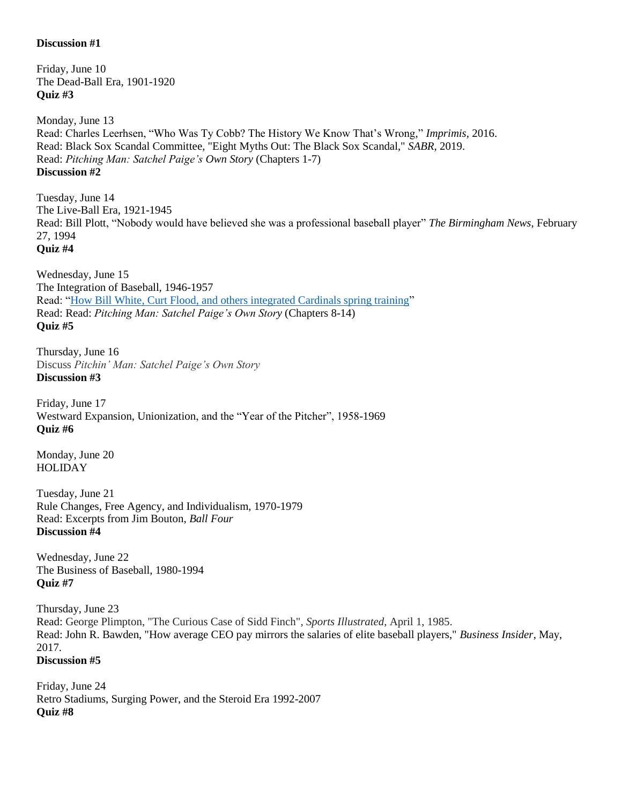## **Discussion #1**

Friday, June 10 The Dead-Ball Era, 1901-1920 **Quiz #3**

Monday, June 13 Read: Charles Leerhsen, "Who Was Ty Cobb? The History We Know That's Wrong," *Imprimis*, 2016. Read: Black Sox Scandal Committee, "Eight Myths Out: The Black Sox Scandal," *SABR*, 2019. Read: *Pitching Man: Satchel Paige's Own Story* (Chapters 1-7) **Discussion #2**

Tuesday, June 14 The Live-Ball Era, 1921-1945 Read: Bill Plott, "Nobody would have believed she was a professional baseball player" *The Birmingham News*, February 27, 1994 **Quiz #4**

Wednesday, June 15 The Integration of Baseball, 1946-1957 Read: ["How Bill White, Curt Flood, and others integrated Cardinals spring training"](https://www.stlredbirds.com/2020/11/08/how-bill-white-curt-flood-and-others-integrated-cardinals-spring-training/) Read: Read: *Pitching Man: Satchel Paige's Own Story* (Chapters 8-14) **Quiz #5**

Thursday, June 16 Discuss *Pitchin' Man: Satchel Paige's Own Story* **Discussion #3**

Friday, June 17 Westward Expansion, Unionization, and the "Year of the Pitcher", 1958-1969 **Quiz #6**

Monday, June 20 HOLIDAY

Tuesday, June 21 Rule Changes, Free Agency, and Individualism, 1970-1979 Read: Excerpts from Jim Bouton, *Ball Four* **Discussion #4**

Wednesday, June 22 The Business of Baseball, 1980-1994 **Quiz #7**

Thursday, June 23 Read: George Plimpton, "The Curious Case of Sidd Finch", *Sports Illustrated*, April 1, 1985. Read: John R. Bawden, "How average CEO pay mirrors the salaries of elite baseball players," *Business Insider*, May, 2017. **Discussion #5**

Friday, June 24 Retro Stadiums, Surging Power, and the Steroid Era 1992-2007 **Quiz #8**